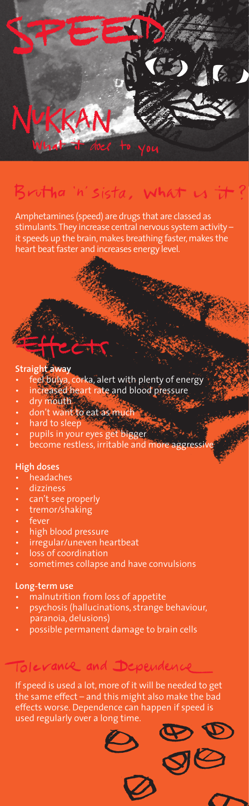

# utha 'n' sista, what

Amphetamines (speed) are drugs that are classed as stimulants. They increase central nervous system activity – it speeds up the brain, makes breathing faster, makes the heart beat faster and increases energy level.

- **Straight away**<br>• feel bulya,<br>• increased corka, alert with plenty of energy
- a, corre, archetering<br>d.heart rate and blood pressure
- dry mouth.
- don't want to eat as much
- hard to sleep
- pupils in your eyes get bigger
- become restless, irritable and more aggressive

### **High doses**

- headaches
- dizziness
- can't see properly
- tremor/shaking
- fever
- high blood pressure
- irregular/uneven heartbeat
- loss of coordination
- sometimes collapse and have convulsions

### **Long-term use**

- malnutrition from loss of appetite
- psychosis (hallucinations, strange behaviour, paranoia, delusions)
- possible permanent damage to brain cells

## Tolerance and Dependence

If speed is used a lot, more of it will be needed to get the same effect – and this might also make the bad effects worse. Dependence can happen if speed is used regularly over a long time.